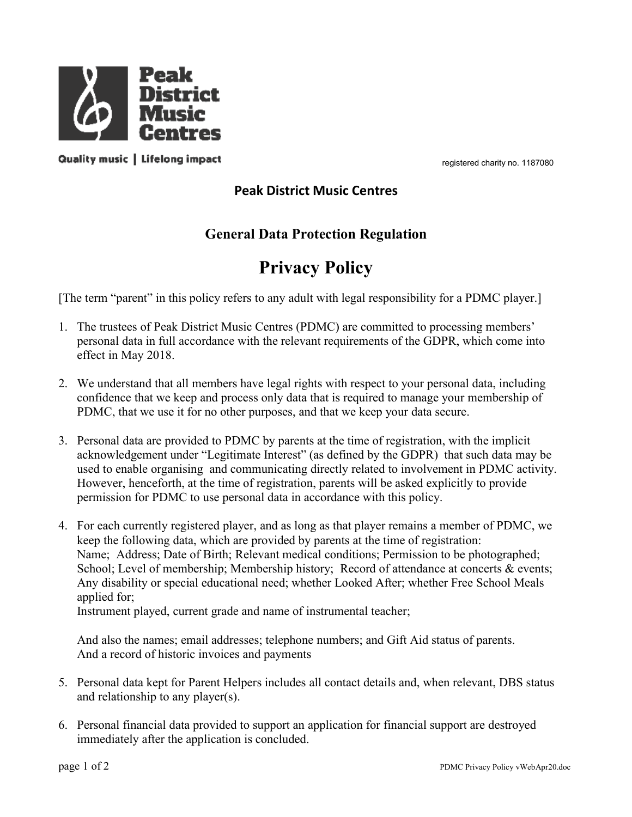

registered charity no. 1187080

## registered charity no. 1187080<br>Peak District Music Centres<br>Pal Data Protection Regulation<br>Privacy Policy

**CEL<br>
SASS**<br>
Peak District Music Centres<br>
General Data Protection Regulation<br>
Privacy Policy<br>
icy refers to any adult with legal responsibility for a PDMC player.]

- registered charity no. 1187080<br> **Data Protection Regulation<br>
Privacy Policy**<br>
o any adult with legal responsibility for a PDMC player.]<br>
Lentres (PDMC) are committed to processing members' **Example 14 All policy Contract Control**<br> **Contress**<br> **Contres Controls any adult Wisic Centres**<br> **Control Data Protection Regulation**<br> **Privacy Policy**<br> **Example 1.** The term "parent" in this policy refers to any adult wi **1. The term "in this policy centres**<br>
1. The term "parent" in this policy beak District Music Centres<br>
1. The term "parent" in this policy erfors to any adult with legal responsibility for a PDMC player.]<br>
1. The trustees **PERSONAL EXECT CONSTRANCE CONSTRANCE CONSTRANCE CONSTRANCE CONSTRANCE CONSTRANCE CONSTRANCE CONSTRANCE CONSTRANCE CONSTRANCE CONSTRANCE CONSTRANCE CONSTRANCE REPORTED THE THIS POLY CONSTRANCE RELEVANT CONSTRANCE CONSTRANC Example 18 Altistic Contract Centres**<br> **Example 18 Altistic Centres**<br> **Example 18 Altistic Music Centres**<br> **Example 18 Altistic Music Centres**<br> **Example 19 Altistic Music Centres**<br> **Example 19 Altistic Music Centres**<br> **Pr 2. We understand that all members have legal rights with respect to your personal data, including**<br>
2. We understand that all members have legal rights with regal responsibility for a PDMC player.]<br>
2. The trustees of Pea **CONCES EXECTS**<br> **CONFIGENT CONFIDENT CONFIDENT CONFIDENT CONFIDENT CONFIDENT CONFIDENT CONFIDENT CONFIDENT CONFIDENT CONFIDENT CONFIDENT (The trustices of Peak District Music Centres (PDMC) are committed to processing mem**
- 
- registered charity on. 1187080<br> **Peak District Music Centres**<br> **Peak District Music Centres**<br> **Privacy Policy**<br> **Privacy Policy**<br> **Privacy Policy**<br> **Privacy Policy**<br> **Privacy Policy**<br> **Privacy Policy**<br> **Privacy Policy**<br> **P 3. Personal data are provided to PDMC by parents at the time of registration Properties at the implicit of registration Properties** at the registration of Peak District Music Centres (PDMC) are committed to processi **Example 19 Follow Control**<br> **Example 19 Follow Server Server Server Server Server Server Server Server Server Server Server Server Server Server Server Server Server Server Server Server Server Server Server Server Server Example 10 Example 10 Example 10 Privacy Policy**<br>**Privacy Policy**<br>**Privacy Policy**<br>The trustees of Peak District Music Centres (PDMC) are committed to processing members'<br>personal data in full accordance with the re **Example 10 Example 10 Providing the Computer** Computer of Provides and the time of registration. The trustees of Peak District Music Centres (PDMC) are committed to processing members' personal data in full accordance **Example 10 Conserved Compare Conserved Conserved Conserved Conserved Conserved Conserved Conserved Conserved Conserved Conserved Conserved Conserved Conserved Conserved Conserved Conserved Conserved Conserved Conserved**
- partimsholi for 1 Dove to the personial diam are dotated with this policy.<br>
4. For each currently registered player, and as long as that player remains a member of PDMC, we<br>
keep the following data, which are provided by p **Privacy Policy**<br>
1. The transtess of Peak District Music Centres (PDMC) are committed to processing members'<br>
personal data in full accordance with the relevant requirements of the GDPR, which come into<br>
effect in May 201 teem "parent" in this policy refers to any adult with legal responsibility for a PDMC player.]<br>The trustecs of Peak District Music Centres (PDMC) are committed to processing members'<br>opersonal data in full accordance with term "parent" in this policy refers to any adult with legal responsibility for a PDMC player.]<br>The trustees of Peak District Music Centres (PDMC) are committed to processing members'<br>personal data in full accordance with t School; Level of membership; Coloring the membership; Membership; Membership; The tracessing members'<br>The tracess of Peak District Music Centres (PDMC) are committed to processing members'<br>represental data in full accordan The trustees of Peak District Music Centres (PDMC) are committed to processing members'<br>opersonal data in full accordance with the relevant requirements of the GDPR, which come into<br>effect in May 2018.<br>We understand that a The discussion of value and members are the column of the continuous of process opersional data in full accordance with the relevant requirements of the GDPR effect in May 2018.<br>We understand that all members have legal ri From that means the restrained which restrain is the restrict, mean ended in the restrict of the restrict of the restrict of the restrict of the restrict of the restrict of the matter confidence that we keep and process on We understand that all members have legal rights with respect to your personal data, including<br>confidence that we keep and process only data that is required to manage your membership of<br>PDMC, that we use it for no other p The means was a recorded by parents at the time of registration, the present and the section of PDMC, that we use it for no other purposes, and that us required to manage your membership of PDMC, that we use it for no othe 3. Personal data are provided to PDMC by parents at the three of registration, with the implicit acknowledgement under "Legitimate Interest" (as defined by the GDPR) that such data may be used to enable organising and comm Personal data are provided to PDMC by parents at the time of registration, with the implicit acknowledgement under "Legitimate Interest" (as defined by the GDPR) that such data ma used to enable organising and communicatin Read to enable organising and communicating directly related to involvement in PDMC activity.<br>However, henceforth, at the time of registration, parents will be asked explicitly to provide<br>permusical for the time of regist and a more of material data constant and contain and contain and the product and the product of the application, parents will be asked explicitly to provide permission for PDMC to use personal data in accordance with this

- 
-